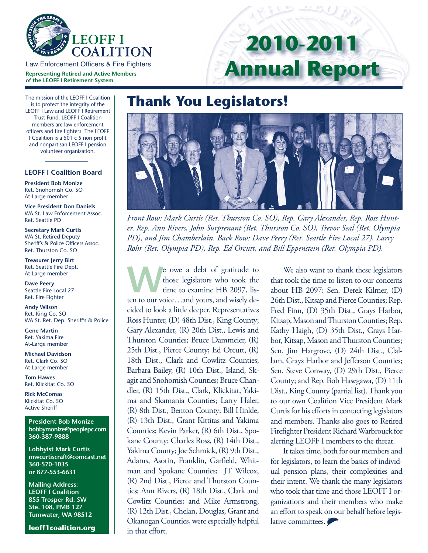

**Representing Retired and Active Members of the LEOFF I Retirement System**

# **2010-2011 Annual Report**

## **Thank You Legislators!**

*Front Row: Mark Curtis (Ret. Thurston Co. SO), Rep. Gary Alexander, Rep. Ross Hunter, Rep. Ann Rivers, John Surprenant (Ret. Thurston Co. SO), Trevor Seal (Ret. Olympia PD), and Jim Chamberlain. Back Row: Dave Peery (Ret. Seattle Fire Local 27), Larry Rohr (Ret. Olympia PD), Rep. Ed Orcutt, and Bill Eppenstein (Ret. Olympia PD).* 

e owe a debt of gratitude to<br>those legislators who took the<br>time to examine HB 2097, listhose legislators who took the time to examine HB 2097, listen to our voice…and yours, and wisely decided to look a little deeper. Representatives Ross Hunter, (D) 48th Dist., King County; Gary Alexander, (R) 20th Dist., Lewis and Thurston Counties; Bruce Dammeier, (R) 25th Dist., Pierce County; Ed Orcutt, (R) 18th Dist., Clark and Cowlitz Counties; Barbara Bailey, (R) 10th Dist., Island, Skagit and Snohomish Counties; Bruce Chandler, (R) 15th Dist., Clark, Klickitat, Yakima and Skamania Counties; Larry Haler, (R) 8th Dist., Benton County; Bill Hinkle, (R) 13th Dist., Grant Kittitas and Yakima Counties; Kevin Parker, (R) 6th Dist., Spokane County; Charles Ross, (R) 14th Dist., Yakima County; Joe Schmick, (R) 9th Dist., Adams, Asotin, Franklin, Garfield, Whitman and Spokane Counties; JT Wilcox, (R) 2nd Dist., Pierce and Thurston Counties; Ann Rivers, (R) 18th Dist., Clark and Cowlitz Counties; and Mike Armstrong, (R) 12th Dist., Chelan, Douglas, Grant and Okanogan Counties, were especially helpful in that effort.

We also want to thank these legislators that took the time to listen to our concerns about HB 2097: Sen. Derek Kilmer, (D) 26th Dist., Kitsap and Pierce Counties; Rep. Fred Finn, (D) 35th Dist., Grays Harbor, Kitsap, Mason and Thurston Counties; Rep. Kathy Haigh, (D) 35th Dist., Grays Harbor, Kitsap, Mason and Thurston Counties; Sen. Jim Hargrove, (D) 24th Dist., Clallam, Grays Harbor and Jefferson Counties; Sen. Steve Conway, (D) 29th Dist., Pierce County; and Rep. Bob Hasegawa, (D) 11th Dist., King County (partial list). Thank you to our own Coalition Vice President Mark Curtis for his efforts in contacting legislators and members. Thanks also goes to Retired Firefighter President Richard Warbrouck for alerting LEOFF I members to the threat.

It takes time, both for our members and for legislators, to learn the basics of individual pension plans, their complexities and their intent. We thank the many legislators who took that time and those LEOFF I organizations and their members who make an effort to speak on our behalf before legislative committees.

The mission of the LEOFF I Coalition is to protect the integrity of the LEOFF I Law and LEOFF I Retirement Trust Fund. LEOFF I Coalition members are law enforcement officers and fire fighters. The LEOFF I Coalition is a 501 c 5 non profit and nonpartisan LEOFF I pension volunteer organization.

#### **LEOFF I Coalition Board**

**President Bob Monize** Ret. Snohomish Co. SO At-Large member

**Vice President Don Daniels**  WA St. Law Enforcement Assoc. Ret. Seattle PD

**Secretary Mark Curtis** WA St. Retired Deputy Sheriff's & Police Officers Assoc. Ret. Thurston Co. SO

**Treasurer Jerry Birt**  Ret. Seattle Fire Dept. At-Large member

**Dave Peery**  Seattle Fire Local 27 Ret. Fire Fighter

**Andy Wilson**  Ret. King Co. SO WA St. Ret. Dep. Sheriff's & Police

**Gene Martin**  Ret. Yakima Fire At-Large member

**Michael Davidson**  Ret. Clark Co. SO At-Large member

**Tom Hawes**  Ret. Klickitat Co. SO

**Rick McComas**  Klickitat Co. SO Active Sheriff

**President Bob Monize bobbymonize@peoplepc.com 360-387-9888**

**Lobbyist Mark Curtis mwcurtiscraft@comcast.net 360-570-1035 or 877-553-6631**

**Mailing Address: LEOFF I Coalition 855 Trosper Rd. SW Ste. 108, PMB 127 Tumwater, WA 98512**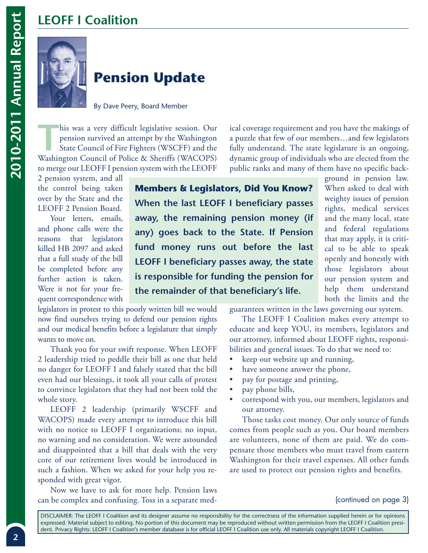### **LEOFF I Coalition**



### **Pension Update**

By Dave Peery, Board Member

This was a very difficult legislative session. Our pension survived an attempt by the Washington<br>
State Council of Fire Fighters (WSCFF) and the<br>
Washington Gouncil of Boling & Shoriffe (WACOBS) pension survived an attempt by the Washington Washington Council of Police & Sheriffs (WACOPS) to merge our LEOFF I pension system with the LEOFF

2 pension system, and all the control being taken over by the State and the LEOFF 2 Pension Board.

Your letters, emails, and phone calls were the reasons that legislators killed HB 2097 and asked that a full study of the bill be completed before any further action is taken. Were it not for your frequent correspondence with

**Members & Legislators, Did You Know? When the last LEOFF I beneficiary passes away, the remaining pension money (if any) goes back to the State. If Pension fund money runs out before the last LEOFF I beneficiary passes away, the state is responsible for funding the pension for the remainder of that beneficiary's life.**

ical coverage requirement and you have the makings of a puzzle that few of our members…and few legislators fully understand. The state legislature is an ongoing, dynamic group of individuals who are elected from the public ranks and many of them have no specific back-

> ground in pension law. When asked to deal with weighty issues of pension rights, medical services and the many local, state and federal regulations that may apply, it is critical to be able to speak openly and honestly with those legislators about our pension system and help them understand both the limits and the

legislators in protest to this poorly written bill we would now find ourselves trying to defend our pension rights and our medical benefits before a legislature that simply wants to move on.

Thank you for your swift response. When LEOFF 2 leadership tried to peddle their bill as one that held no danger for LEOFF I and falsely stated that the bill even had our blessings, it took all your calls of protest to convince legislators that they had not been told the whole story.

LEOFF 2 leadership (primarily WSCFF and WACOPS) made every attempt to introduce this bill with no notice to LEOFF I organizations; no input, no warning and no consideration. We were astounded and disappointed that a bill that deals with the very core of our retirement lives would be introduced in such a fashion. When we asked for your help you responded with great vigor.

Now we have to ask for more help. Pension laws can be complex and confusing. Toss in a separate medguarantees written in the laws governing our system.

 The LEOFF I Coalition makes every attempt to educate and keep YOU, its members, legislators and our attorney, informed about LEOFF rights, responsibilities and general issues. To do that we need to:

- keep our website up and running,
- have someone answer the phone,
- pay for postage and printing,
- pay phone bills,
- correspond with you, our members, legislators and our attorney.

Those tasks cost money. Our only source of funds comes from people such as you. Our board members are volunteers, none of them are paid. We do compensate those members who must travel from eastern Washington for their travel expenses. All other funds are used to protect our pension rights and benefits.

#### (continued on page 3)

DISCLAIMER: The LEOFF I Coalition and its designer assume no responsibility for the correctness of the information supplied herein or for opinions expressed. Material subject to editing. No portion of this document may be reproduced without written permission from the LEOFF I Coalition president. Privacy Rights: LEOFF I Coalition's member database is for official LEOFF I Coalition use only. All materials copyright LEOFF I Coalition.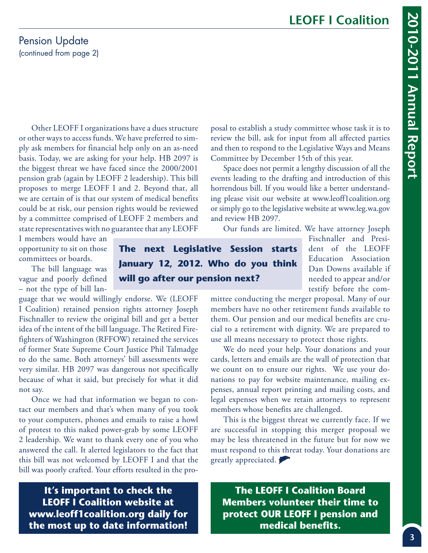#### Pension Update (continued from page 2)

Other LEOFF I organizations have a dues structure or other ways to access funds. We have preferred to simply ask members for financial help only on an as-need basis. Today, we are asking for your help. HB 2097 is the biggest threat we have faced since the 2000/2001 pension grab (again by LEOFF 2 leadership). This bill proposes to merge LEOFF I and 2. Beyond that, all we are certain of is that our system of medical benefits could be at risk, our pension rights would be reviewed by a committee comprised of LEOFF 2 members and state representatives with no guarantee that any LEOFF

I members would have an opportunity to sit on those committees or boards.

The bill language was vague and poorly defined – not the type of bill lan-

guage that we would willingly endorse. We (LEOFF I Coalition) retained pension rights attorney Joseph Fischnaller to review the original bill and get a better idea of the intent of the bill language. The Retired Firefighters of Washington (RFFOW) retained the services of former State Supreme Court Justice Phil Talmadge to do the same. Both attorneys' bill assessments were very similar. HB 2097 was dangerous not specifically because of what it said, but precisely for what it did not say.

Once we had that information we began to contact our members and that's when many of you took to your computers, phones and emails to raise a howl of protest to this naked power-grab by some LEOFF 2 leadership. We want to thank every one of you who answered the call. It alerted legislators to the fact that this bill was not welcomed by LEOFF I and that the bill was poorly crafted. Your efforts resulted in the proposal to establish a study committee whose task it is to review the bill, ask for input from all affected parties and then to respond to the Legislative Ways and Means Committee by December 15th of this year.

Space does not permit a lengthy discussion of all the events leading to the drafting and introduction of this horrendous bill. If you would like a better understanding please visit our website at www.leoff1coalition.org or simply go to the legislative website at www.leg.wa.gov and review HB 2097.

Our funds are limited. We have attorney Joseph

**The next Legislative Session starts January 12, 2012. Who do you think will go after our pension next?**

Fischnaller and President of the LEOFF Education Association Dan Downs available if needed to appear and/or testify before the com-

mittee conducting the merger proposal. Many of our members have no other retirement funds available to them. Our pension and our medical benefits are crucial to a retirement with dignity. We are prepared to use all means necessary to protect those rights.

We do need your help. Your donations and your cards, letters and emails are the wall of protection that we count on to ensure our rights. We use your donations to pay for website maintenance, mailing expenses, annual report printing and mailing costs, and legal expenses when we retain attorneys to represent members whose benefits are challenged.

This is the biggest threat we currently face. If we are successful in stopping this merger proposal we may be less threatened in the future but for now we must respond to this threat today. Your donations are greatly appreciated.

**It's important to check the LEOFF I Coalition website at www.leoff1coalition.org daily for the most up to date information!** 

**The LEOFF I Coalition Board Members volunteer their time to protect OUR LEOFF I pension and medical benefits.**